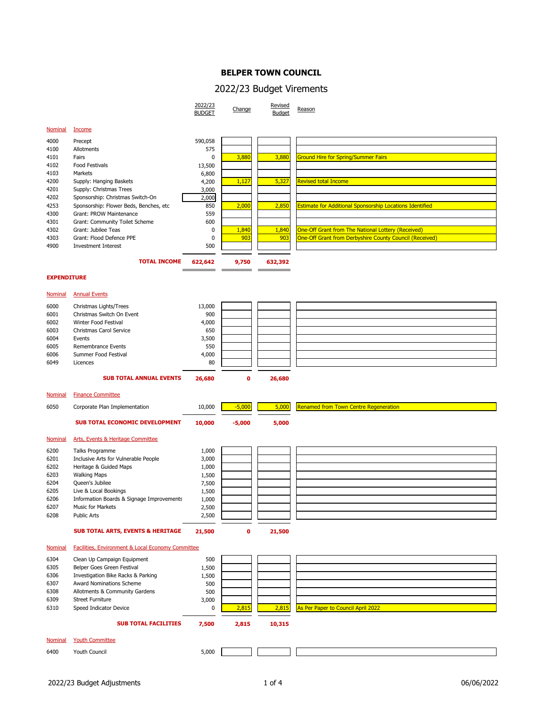## **BELPER TOWN COUNCIL**

## 2022/23 Budget Virements

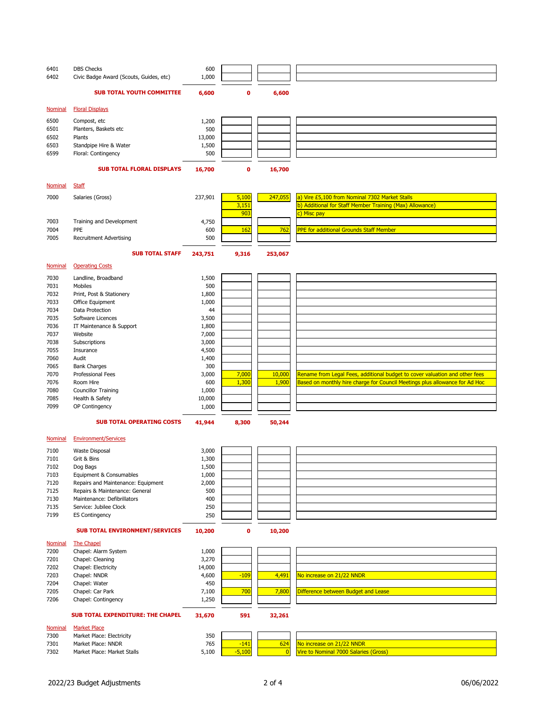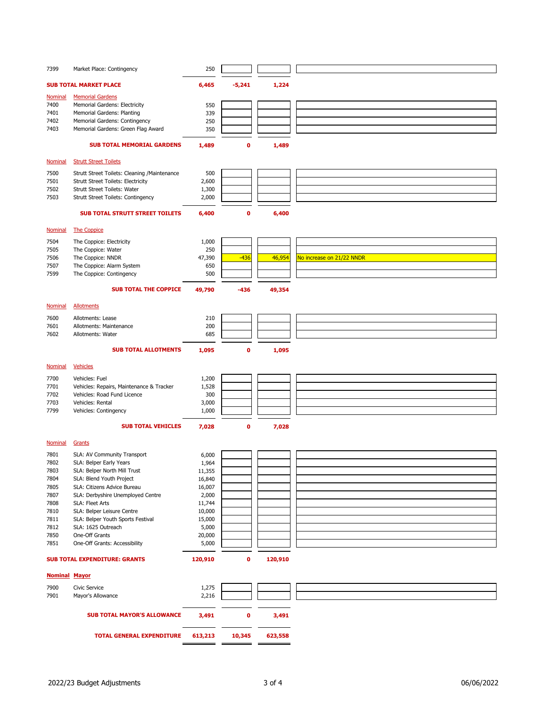| 7399                 | Market Place: Contingency                                       | 250             |             |         |                           |
|----------------------|-----------------------------------------------------------------|-----------------|-------------|---------|---------------------------|
|                      |                                                                 |                 |             |         |                           |
|                      | <b>SUB TOTAL MARKET PLACE</b>                                   | 6,465           | $-5,241$    | 1,224   |                           |
| <b>Nominal</b>       | <b>Memorial Gardens</b>                                         |                 |             |         |                           |
| 7400                 | Memorial Gardens: Electricity                                   | 550             |             |         |                           |
| 7401                 | Memorial Gardens: Planting                                      | 339             |             |         |                           |
| 7402                 | Memorial Gardens: Contingency                                   | 250             |             |         |                           |
| 7403                 | Memorial Gardens: Green Flag Award                              | 350             |             |         |                           |
|                      | <b>SUB TOTAL MEMORIAL GARDENS</b>                               | 1,489           | $\mathbf 0$ | 1,489   |                           |
|                      |                                                                 |                 |             |         |                           |
| <b>Nominal</b>       | <b>Strutt Street Toilets</b>                                    |                 |             |         |                           |
| 7500                 | Strutt Street Toilets: Cleaning /Maintenance                    | 500             |             |         |                           |
| 7501                 | <b>Strutt Street Toilets: Electricity</b>                       | 2,600           |             |         |                           |
| 7502                 | Strutt Street Toilets: Water                                    | 1,300           |             |         |                           |
| 7503                 | Strutt Street Toilets: Contingency                              | 2,000           |             |         |                           |
|                      |                                                                 |                 |             |         |                           |
|                      | <b>SUB TOTAL STRUTT STREET TOILETS</b>                          | 6,400           | $\mathbf 0$ | 6,400   |                           |
| Nominal              | <b>The Coppice</b>                                              |                 |             |         |                           |
|                      |                                                                 |                 |             |         |                           |
| 7504                 | The Coppice: Electricity                                        | 1,000           |             |         |                           |
| 7505                 | The Coppice: Water                                              | 250             |             |         |                           |
| 7506<br>7507         | The Coppice: NNDR<br>The Coppice: Alarm System                  | 47,390<br>650   | $-436$      | 46,954  | No increase on 21/22 NNDR |
| 7599                 | The Coppice: Contingency                                        | 500             |             |         |                           |
|                      |                                                                 |                 |             |         |                           |
|                      | <b>SUB TOTAL THE COPPICE</b>                                    | 49,790          | -436        | 49,354  |                           |
|                      |                                                                 |                 |             |         |                           |
| <b>Nominal</b>       | <b>Allotments</b>                                               |                 |             |         |                           |
| 7600                 | Allotments: Lease                                               | 210             |             |         |                           |
| 7601                 | Allotments: Maintenance                                         | 200             |             |         |                           |
| 7602                 | Allotments: Water                                               | 685             |             |         |                           |
|                      | <b>SUB TOTAL ALLOTMENTS</b>                                     | 1,095           | $\mathbf 0$ | 1,095   |                           |
|                      |                                                                 |                 |             |         |                           |
| <b>Nominal</b>       | <b>Vehicles</b>                                                 |                 |             |         |                           |
| 7700                 | Vehicles: Fuel                                                  | 1,200           |             |         |                           |
| 7701                 | Vehicles: Repairs, Maintenance & Tracker                        | 1,528           |             |         |                           |
| 7702                 | Vehicles: Road Fund Licence                                     | 300             |             |         |                           |
| 7703                 | Vehicles: Rental                                                | 3,000           |             |         |                           |
| 7799                 | Vehicles: Contingency                                           | 1,000           |             |         |                           |
|                      | <b>SUB TOTAL VEHICLES</b>                                       | 7,028           | $\mathbf 0$ | 7,028   |                           |
|                      |                                                                 |                 |             |         |                           |
| <b>Nominal</b>       | Grants                                                          |                 |             |         |                           |
| 7801                 | SLA: AV Community Transport                                     | 6,000           |             |         |                           |
| 7802                 | SLA: Belper Early Years                                         | 1,964           |             |         |                           |
| 7803                 | SLA: Belper North Mill Trust                                    | 11,355          |             |         |                           |
| 7804                 | SLA: Blend Youth Project                                        | 16,840          |             |         |                           |
| 7805                 | SLA: Citizens Advice Bureau                                     | 16,007          |             |         |                           |
| 7807                 | SLA: Derbyshire Unemployed Centre                               | 2,000           |             |         |                           |
| 7808                 | SLA: Fleet Arts                                                 | 11,744          |             |         |                           |
| 7810                 | SLA: Belper Leisure Centre<br>SLA: Belper Youth Sports Festival | 10,000          |             |         |                           |
| 7811<br>7812         | SLA: 1625 Outreach                                              | 15,000<br>5,000 |             |         |                           |
| 7850                 | One-Off Grants                                                  | 20,000          |             |         |                           |
| 7851                 | One-Off Grants: Accessibility                                   | 5,000           |             |         |                           |
|                      |                                                                 |                 |             |         |                           |
|                      | <b>SUB TOTAL EXPENDITURE: GRANTS</b>                            | 120,910         | 0           | 120,910 |                           |
| <b>Nominal Mayor</b> |                                                                 |                 |             |         |                           |
|                      |                                                                 |                 |             |         |                           |
| 7900                 | Civic Service                                                   | 1,275           |             |         |                           |
| 7901                 | Mayor's Allowance                                               | 2,216           |             |         |                           |
|                      |                                                                 |                 |             |         |                           |
|                      | <b>SUB TOTAL MAYOR'S ALLOWANCE</b>                              | 3,491           | 0           | 3,491   |                           |
|                      |                                                                 |                 |             |         |                           |
|                      | <b>TOTAL GENERAL EXPENDITURE</b>                                | 613,213         | 10,345      | 623,558 |                           |
|                      |                                                                 |                 |             |         |                           |